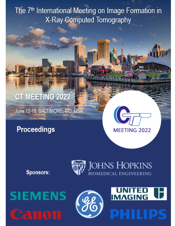The 7<sup>th</sup> International Meeting on Image Formation in **X-Ray Computed Tomography** 

## **CT MEETING 2022**

June 12-16, BALTIMORE, MD, USA

## **Proceedings**



Sponsors:







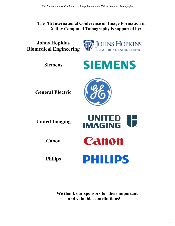## **The 7th International Conference on Image Formation in X-Ray Computed Tomography is supported by:**

**Johns Hopkins Biomedical Engineering**



**Siemens**



**General Electric**



| <b>United Imaging</b> | <b>UNITED</b><br><b>IMAGING</b> |
|-----------------------|---------------------------------|
| Canon                 | Canon                           |
| <b>Philips</b>        | <b>PHILIPS</b>                  |

**We thank our sponsors for their important and valuable contributions!**